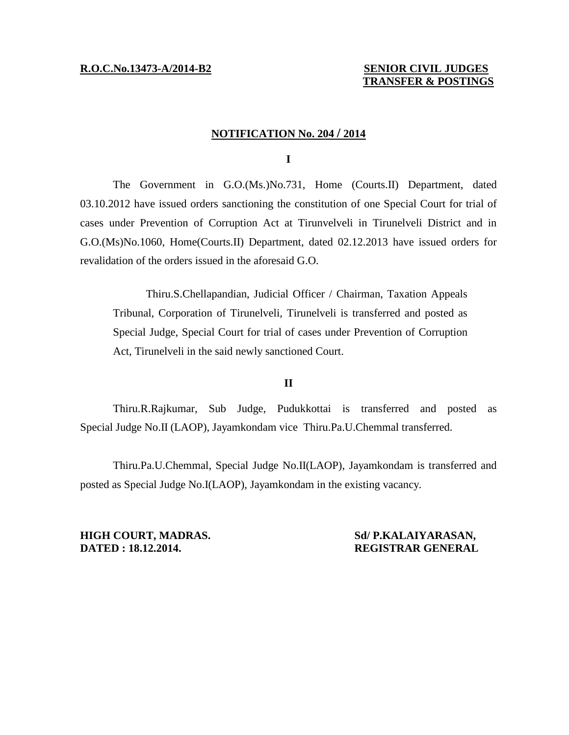## **R.O.C.No.13473-A/2014-B2 SENIOR CIVIL JUDGES TRANSFER & POSTINGS**

# **NOTIFICATION No. 204 / 2014**

**I** 

The Government in G.O.(Ms.)No.731, Home (Courts.II) Department, dated 03.10.2012 have issued orders sanctioning the constitution of one Special Court for trial of cases under Prevention of Corruption Act at Tirunvelveli in Tirunelveli District and in G.O.(Ms)No.1060, Home(Courts.II) Department, dated 02.12.2013 have issued orders for revalidation of the orders issued in the aforesaid G.O.

Thiru.S.Chellapandian, Judicial Officer / Chairman, Taxation Appeals Tribunal, Corporation of Tirunelveli, Tirunelveli is transferred and posted as Special Judge, Special Court for trial of cases under Prevention of Corruption Act, Tirunelveli in the said newly sanctioned Court.

## **II**

Thiru.R.Rajkumar, Sub Judge, Pudukkottai is transferred and posted as Special Judge No.II (LAOP), Jayamkondam vice Thiru.Pa.U.Chemmal transferred.

Thiru.Pa.U.Chemmal, Special Judge No.II(LAOP), Jayamkondam is transferred and posted as Special Judge No.I(LAOP), Jayamkondam in the existing vacancy.

## **HIGH COURT, MADRAS. Sd/ P.KALAIYARASAN, DATED : 18.12.2014. REGISTRAR GENERAL**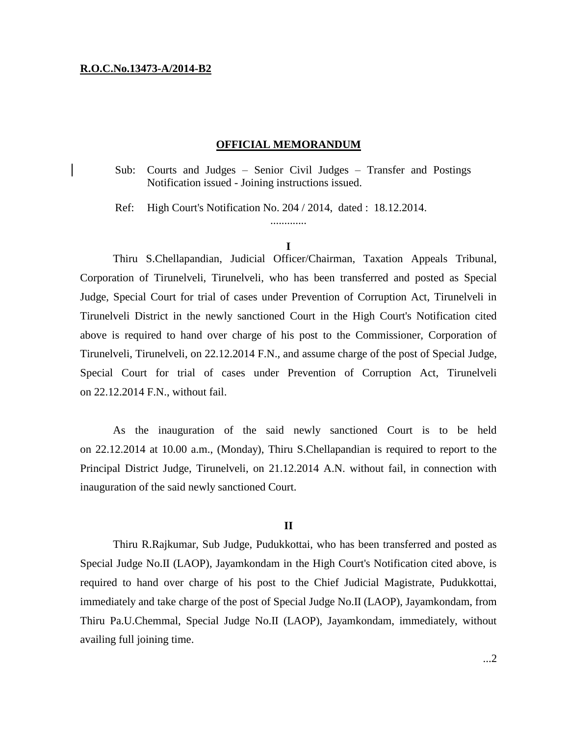### **R.O.C.No.13473-A/2014-B2**

### **OFFICIAL MEMORANDUM**

Sub: Courts and Judges – Senior Civil Judges – Transfer and Postings Notification issued - Joining instructions issued.

Ref: High Court's Notification No. 204 / 2014, dated : 18.12.2014.

.............

Thiru S.Chellapandian, Judicial Officer/Chairman, Taxation Appeals Tribunal, Corporation of Tirunelveli, Tirunelveli, who has been transferred and posted as Special Judge, Special Court for trial of cases under Prevention of Corruption Act, Tirunelveli in Tirunelveli District in the newly sanctioned Court in the High Court's Notification cited above is required to hand over charge of his post to the Commissioner, Corporation of Tirunelveli, Tirunelveli, on 22.12.2014 F.N., and assume charge of the post of Special Judge, Special Court for trial of cases under Prevention of Corruption Act, Tirunelveli on 22.12.2014 F.N., without fail.

As the inauguration of the said newly sanctioned Court is to be held on 22.12.2014 at 10.00 a.m., (Monday), Thiru S.Chellapandian is required to report to the Principal District Judge, Tirunelveli, on 21.12.2014 A.N. without fail, in connection with inauguration of the said newly sanctioned Court.

### **II**

Thiru R.Rajkumar, Sub Judge, Pudukkottai, who has been transferred and posted as Special Judge No.II (LAOP), Jayamkondam in the High Court's Notification cited above, is required to hand over charge of his post to the Chief Judicial Magistrate, Pudukkottai, immediately and take charge of the post of Special Judge No.II (LAOP), Jayamkondam, from Thiru Pa.U.Chemmal, Special Judge No.II (LAOP), Jayamkondam, immediately, without availing full joining time.

**I**